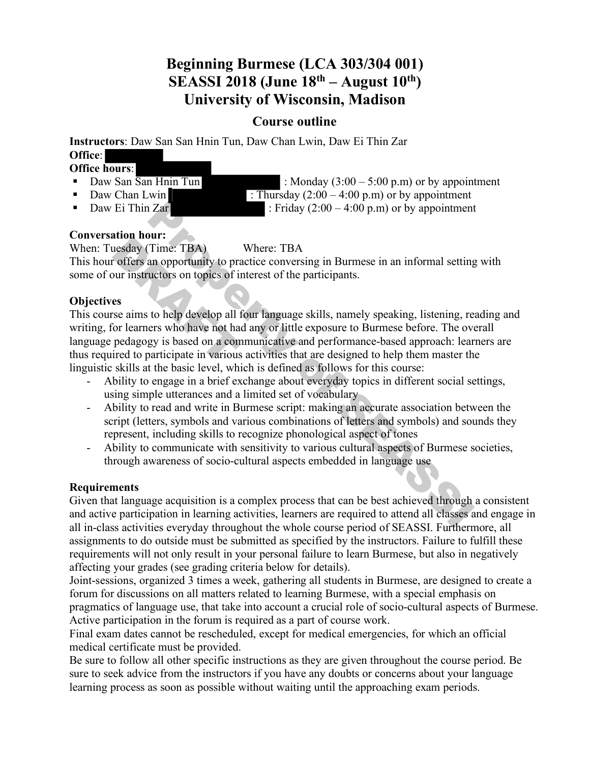# **Beginning Burmese (LCA 303/304 001) SEASSI 2018 (June 18th – August 10th) University of Wisconsin, Madison**

## **Course outline**

**Instructors**: Daw San San Hnin Tun, Daw Chan Lwin, Daw Ei Thin Zar **Office**:

#### **Office hours**:

- 
- 
- 

• Daw San  $\overline{San H}$  Hnin Tun : Monday (3:00 – 5:00 p.m) or by appointment • Daw Chan Lwin : Thursday  $(2:00 - 4:00 \text{ p.m})$  or by appointment • Daw Ei Thin Zar : Friday  $(2:00 - 4:00 \text{ p.m})$  or by appointment

## **Conversation hour:**

When: Tuesday (Time: TBA) Where: TBA

This hour offers an opportunity to practice conversing in Burmese in an informal setting with some of our instructors on topics of interest of the participants.

## **Objectives**

This course aims to help develop all four language skills, namely speaking, listening, reading and writing, for learners who have not had any or little exposure to Burmese before. The overall language pedagogy is based on a communicative and performance-based approach: learners are thus required to participate in various activities that are designed to help them master the linguistic skills at the basic level, which is defined as follows for this course: 2. The same of Secure 1. Friday (2:00 – 4:00 p.m) or by appointment<br>
2. Time: TBA<br>
2. Time: TBA<br>
2. Where: TBA<br>
2. Where: TBA<br>
2. Time: TBA<br>
2. The same opportunity to practice conversing in Burmese in an informal setting Example 1<br>
Internation Control (Time: TBA)<br>
The original of the property of the set of the set of the set of the property<br>
The set of the property of the property<br>
The property of the property of the property<br>
The property

- Ability to engage in a brief exchange about everyday topics in different social settings, using simple utterances and a limited set of vocabulary
- Ability to read and write in Burmese script: making an accurate association between the script (letters, symbols and various combinations of letters and symbols) and sounds they represent, including skills to recognize phonological aspect of tones
- Ability to communicate with sensitivity to various cultural aspects of Burmese societies, through awareness of socio-cultural aspects embedded in language use

## **Requirements**

Given that language acquisition is a complex process that can be best achieved through a consistent and active participation in learning activities, learners are required to attend all classes and engage in all in-class activities everyday throughout the whole course period of SEASSI. Furthermore, all assignments to do outside must be submitted as specified by the instructors. Failure to fulfill these requirements will not only result in your personal failure to learn Burmese, but also in negatively affecting your grades (see grading criteria below for details).

Joint-sessions, organized 3 times a week, gathering all students in Burmese, are designed to create a forum for discussions on all matters related to learning Burmese, with a special emphasis on pragmatics of language use, that take into account a crucial role of socio-cultural aspects of Burmese. Active participation in the forum is required as a part of course work.

Final exam dates cannot be rescheduled, except for medical emergencies, for which an official medical certificate must be provided.

Be sure to follow all other specific instructions as they are given throughout the course period. Be sure to seek advice from the instructors if you have any doubts or concerns about your language learning process as soon as possible without waiting until the approaching exam periods.